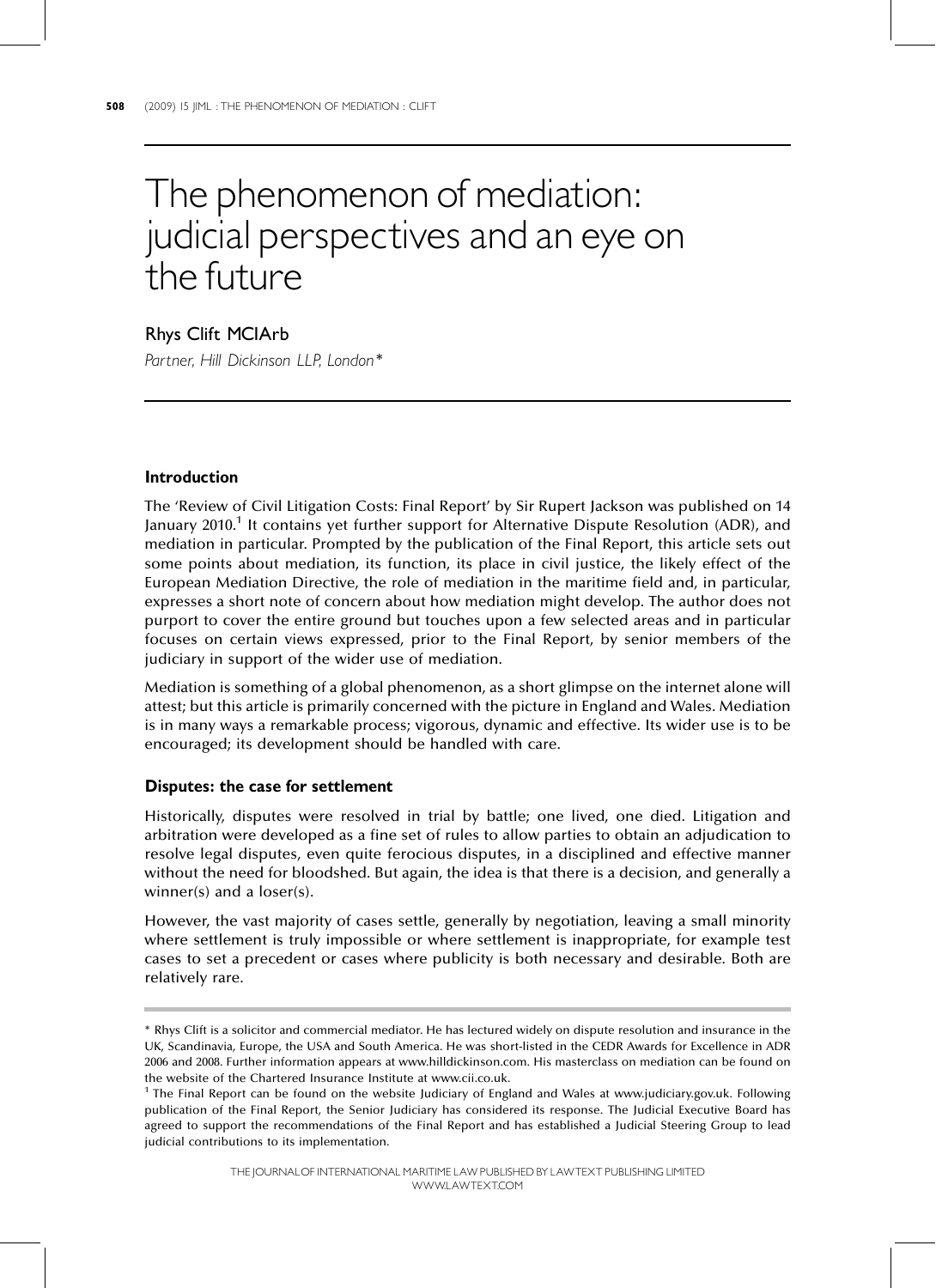# The phenomenon of mediation: judicial perspectives and an eye on the future

# Rhys Clift MCIArb

Partner, Hill Dickinson LLP, London\*

# Introduction

The 'Review of Civil Litigation Costs: Final Report' by Sir Rupert Jackson was published on 14 January 2010.<sup>1</sup> It contains yet further support for Alternative Dispute Resolution (ADR), and mediation in particular. Prompted by the publication of the Final Report, this article sets out some points about mediation, its function, its place in civil justice, the likely effect of the European Mediation Directive, the role of mediation in the maritime field and, in particular, expresses a short note of concern about how mediation might develop. The author does not purport to cover the entire ground but touches upon a few selected areas and in particular focuses on certain views expressed, prior to the Final Report, by senior members of the judiciary in support of the wider use of mediation.

Mediation is something of a global phenomenon, as a short glimpse on the internet alone will attest; but this article is primarily concerned with the picture in England and Wales. Mediation is in many ways a remarkable process; vigorous, dynamic and effective. Its wider use is to be encouraged; its development should be handled with care.

# Disputes: the case for settlement

Historically, disputes were resolved in trial by battle; one lived, one died. Litigation and arbitration were developed as a fine set of rules to allow parties to obtain an adjudication to resolve legal disputes, even quite ferocious disputes, in a disciplined and effective manner without the need for bloodshed. But again, the idea is that there is a decision, and generally a winner(s) and a loser(s).

However, the vast majority of cases settle, generally by negotiation, leaving a small minority where settlement is truly impossible or where settlement is inappropriate, for example test cases to set a precedent or cases where publicity is both necessary and desirable. Both are relatively rare.

<sup>\*</sup> Rhys Clift is a solicitor and commercial mediator. He has lectured widely on dispute resolution and insurance in the UK, Scandinavia, Europe, the USA and South America. He was short-listed in the CEDR Awards for Excellence in ADR 2006 and 2008. Further information appears at www.hilldickinson.com. His masterclass on mediation can be found on the website of the Chartered Insurance Institute at www.cii.co.uk.

<sup>&</sup>lt;sup>1</sup> The Final Report can be found on the website Judiciary of England and Wales at www.judiciary.gov.uk. Following publication of the Final Report, the Senior Judiciary has considered its response. The Judicial Executive Board has agreed to support the recommendations of the Final Report and has established a Judicial Steering Group to lead judicial contributions to its implementation.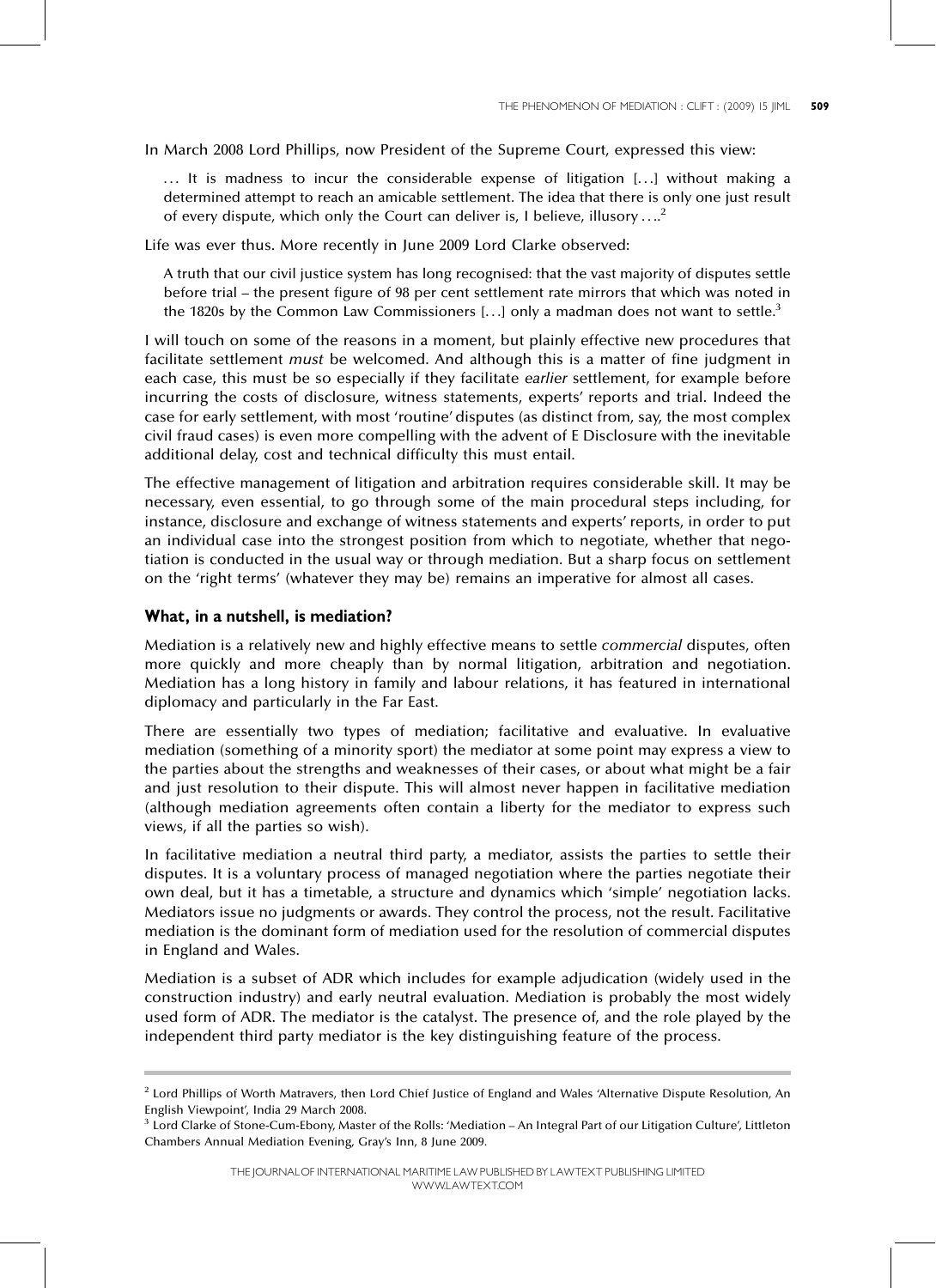In March 2008 Lord Phillips, now President of the Supreme Court, expressed this view:

 $\ldots$  It is madness to incur the considerable expense of litigation [ $\ldots$ ] without making a determined attempt to reach an amicable settlement. The idea that there is only one just result of every dispute, which only the Court can deliver is, I believe, illusory  $\dots^2$ 

Life was ever thus. More recently in June 2009 Lord Clarke observed:

A truth that our civil justice system has long recognised: that the vast majority of disputes settle before trial – the present figure of 98 per cent settlement rate mirrors that which was noted in the 1820s by the Common Law Commissioners  $[...]$  only a madman does not want to settle.<sup>3</sup>

I will touch on some of the reasons in a moment, but plainly effective new procedures that facilitate settlement must be welcomed. And although this is a matter of fine judgment in each case, this must be so especially if they facilitate earlier settlement, for example before incurring the costs of disclosure, witness statements, experts' reports and trial. Indeed the case for early settlement, with most 'routine' disputes (as distinct from, say, the most complex civil fraud cases) is even more compelling with the advent of E Disclosure with the inevitable additional delay, cost and technical difficulty this must entail.

The effective management of litigation and arbitration requires considerable skill. It may be necessary, even essential, to go through some of the main procedural steps including, for instance, disclosure and exchange of witness statements and experts' reports, in order to put an individual case into the strongest position from which to negotiate, whether that negotiation is conducted in the usual way or through mediation. But a sharp focus on settlement on the 'right terms' (whatever they may be) remains an imperative for almost all cases.

#### What, in a nutshell, is mediation?

Mediation is a relatively new and highly effective means to settle commercial disputes, often more quickly and more cheaply than by normal litigation, arbitration and negotiation. Mediation has a long history in family and labour relations, it has featured in international diplomacy and particularly in the Far East.

There are essentially two types of mediation; facilitative and evaluative. In evaluative mediation (something of a minority sport) the mediator at some point may express a view to the parties about the strengths and weaknesses of their cases, or about what might be a fair and just resolution to their dispute. This will almost never happen in facilitative mediation (although mediation agreements often contain a liberty for the mediator to express such views, if all the parties so wish).

In facilitative mediation a neutral third party, a mediator, assists the parties to settle their disputes. It is a voluntary process of managed negotiation where the parties negotiate their own deal, but it has a timetable, a structure and dynamics which 'simple' negotiation lacks. Mediators issue no judgments or awards. They control the process, not the result. Facilitative mediation is the dominant form of mediation used for the resolution of commercial disputes in England and Wales.

Mediation is a subset of ADR which includes for example adjudication (widely used in the construction industry) and early neutral evaluation. Mediation is probably the most widely used form of ADR. The mediator is the catalyst. The presence of, and the role played by the independent third party mediator is the key distinguishing feature of the process.

<sup>&</sup>lt;sup>2</sup> Lord Phillips of Worth Matravers, then Lord Chief Justice of England and Wales 'Alternative Dispute Resolution, An English Viewpoint', India 29 March 2008.

 $3$  Lord Clarke of Stone-Cum-Ebony, Master of the Rolls: 'Mediation  $-$  An Integral Part of our Litigation Culture', Littleton Chambers Annual Mediation Evening, Gray's Inn, 8 June 2009.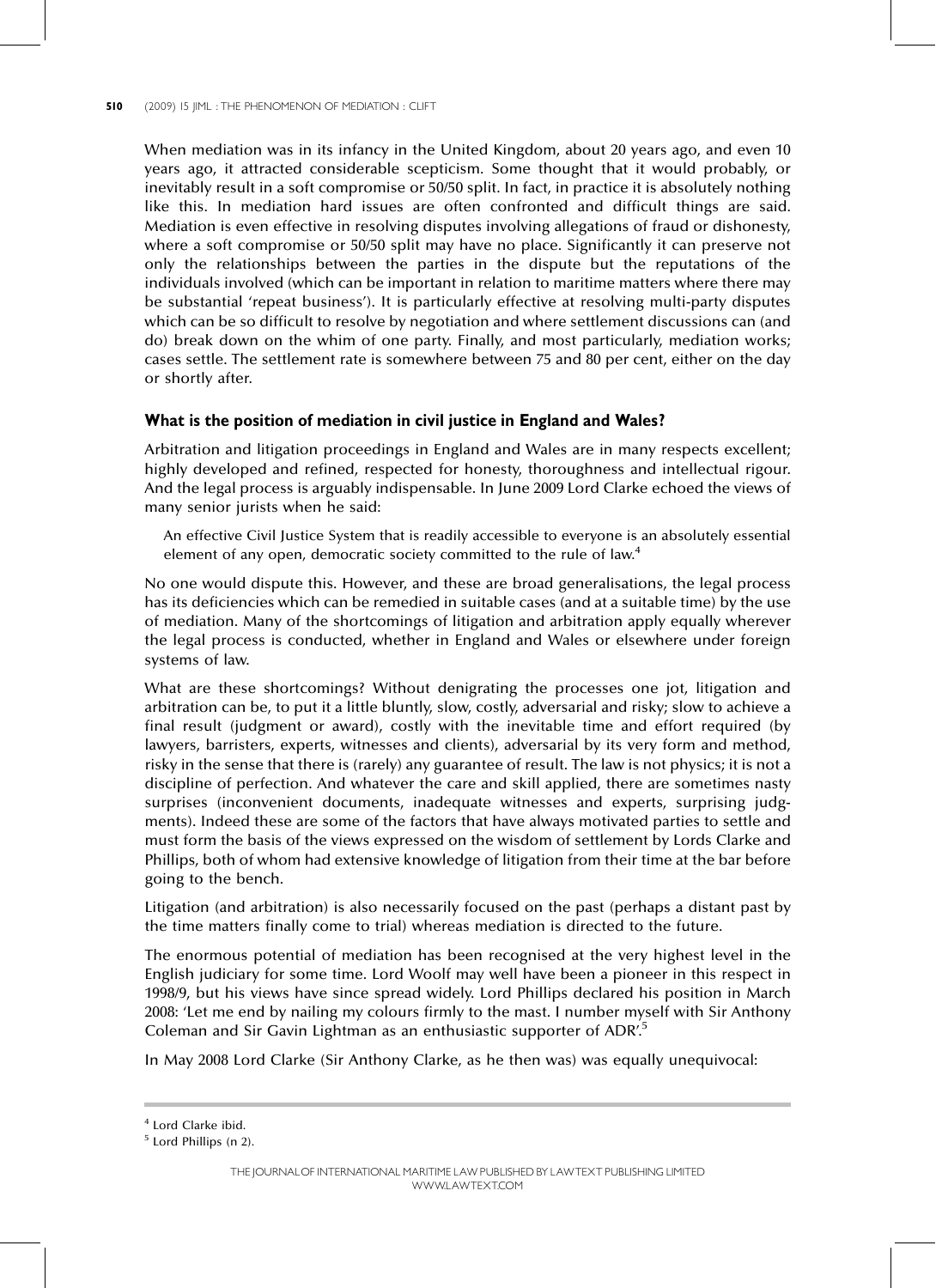#### **510** (2009) 15 IML: THE PHENOMENON OF MEDIATION: CLIFT

When mediation was in its infancy in the United Kingdom, about 20 years ago, and even 10 years ago, it attracted considerable scepticism. Some thought that it would probably, or inevitably result in a soft compromise or 50/50 split. In fact, in practice it is absolutely nothing like this. In mediation hard issues are often confronted and difficult things are said. Mediation is even effective in resolving disputes involving allegations of fraud or dishonesty, where a soft compromise or 50/50 split may have no place. Significantly it can preserve not only the relationships between the parties in the dispute but the reputations of the individuals involved (which can be important in relation to maritime matters where there may be substantial 'repeat business'). It is particularly effective at resolving multi-party disputes which can be so difficult to resolve by negotiation and where settlement discussions can (and do) break down on the whim of one party. Finally, and most particularly, mediation works; cases settle. The settlement rate is somewhere between 75 and 80 per cent, either on the day or shortly after.

# What is the position of mediation in civil justice in England and Wales?

Arbitration and litigation proceedings in England and Wales are in many respects excellent; highly developed and refined, respected for honesty, thoroughness and intellectual rigour. And the legal process is arguably indispensable. In June 2009 Lord Clarke echoed the views of many senior jurists when he said:

An effective Civil Justice System that is readily accessible to everyone is an absolutely essential element of any open, democratic society committed to the rule of law.<sup>4</sup>

No one would dispute this. However, and these are broad generalisations, the legal process has its deficiencies which can be remedied in suitable cases (and at a suitable time) by the use of mediation. Many of the shortcomings of litigation and arbitration apply equally wherever the legal process is conducted, whether in England and Wales or elsewhere under foreign systems of law.

What are these shortcomings? Without denigrating the processes one jot, litigation and arbitration can be, to put it a little bluntly, slow, costly, adversarial and risky; slow to achieve a final result (judgment or award), costly with the inevitable time and effort required (by lawyers, barristers, experts, witnesses and clients), adversarial by its very form and method, risky in the sense that there is (rarely) any guarantee of result. The law is not physics; it is not a discipline of perfection. And whatever the care and skill applied, there are sometimes nasty surprises (inconvenient documents, inadequate witnesses and experts, surprising judgments). Indeed these are some of the factors that have always motivated parties to settle and must form the basis of the views expressed on the wisdom of settlement by Lords Clarke and Phillips, both of whom had extensive knowledge of litigation from their time at the bar before going to the bench.

Litigation (and arbitration) is also necessarily focused on the past (perhaps a distant past by the time matters finally come to trial) whereas mediation is directed to the future.

The enormous potential of mediation has been recognised at the very highest level in the English judiciary for some time. Lord Woolf may well have been a pioneer in this respect in 1998/9, but his views have since spread widely. Lord Phillips declared his position in March 2008: 'Let me end by nailing my colours firmly to the mast. I number myself with Sir Anthony Coleman and Sir Gavin Lightman as an enthusiastic supporter of ADR'.<sup>5</sup>

In May 2008 Lord Clarke (Sir Anthony Clarke, as he then was) was equally unequivocal:

<sup>4</sup> Lord Clarke ibid.

<sup>5</sup> Lord Phillips (n 2).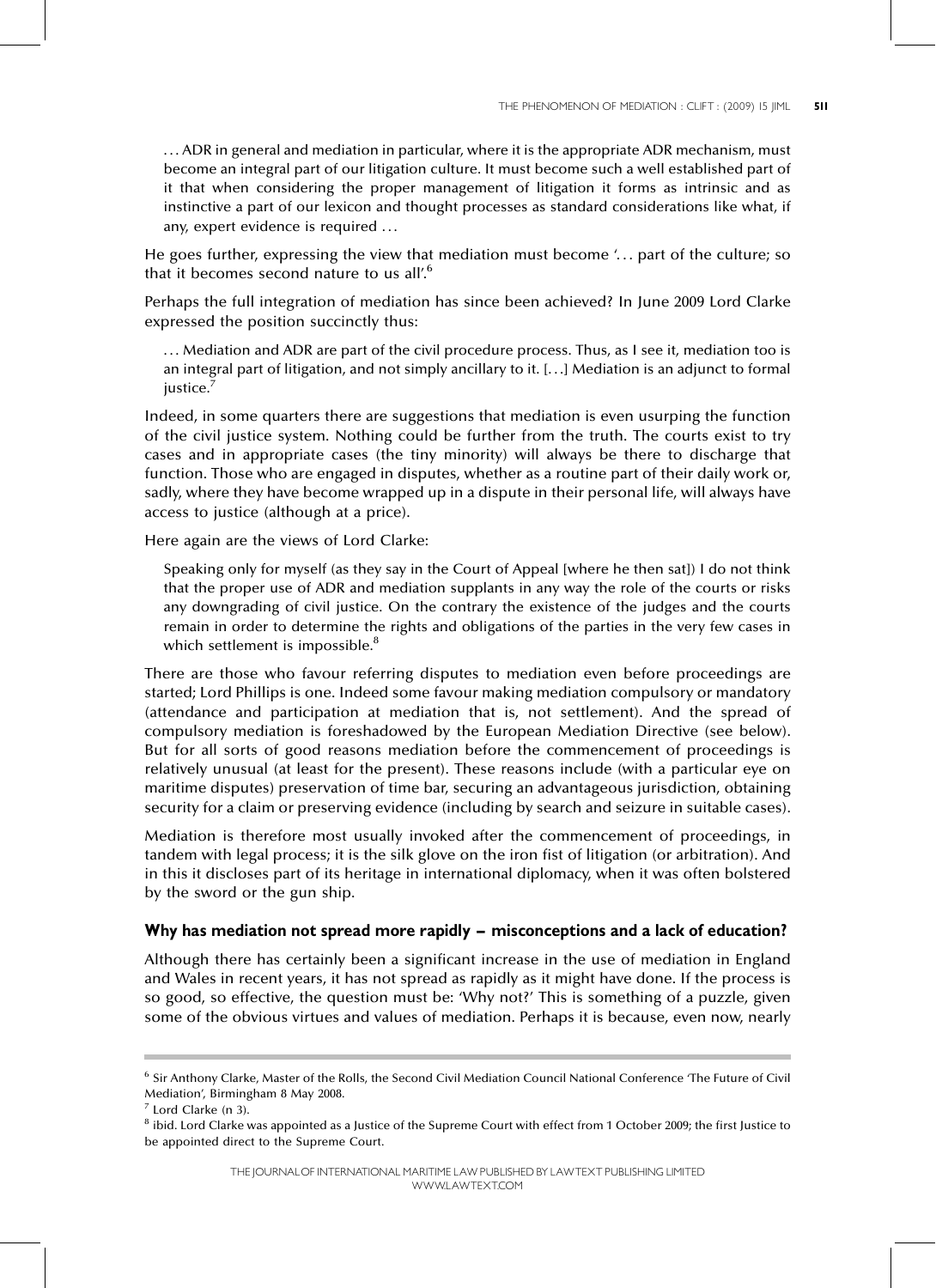. . . ADR in general and mediation in particular, where it is the appropriate ADR mechanism, must become an integral part of our litigation culture. It must become such a well established part of it that when considering the proper management of litigation it forms as intrinsic and as instinctive a part of our lexicon and thought processes as standard considerations like what, if any, expert evidence is required ...

He goes further, expressing the view that mediation must become '... part of the culture; so that it becomes second nature to us all'.<sup>6</sup>

Perhaps the full integration of mediation has since been achieved? In June 2009 Lord Clarke expressed the position succinctly thus:

. . . Mediation and ADR are part of the civil procedure process. Thus, as I see it, mediation too is an integral part of litigation, and not simply ancillary to it. [. . .] Mediation is an adjunct to formal justice.<sup>7</sup>

Indeed, in some quarters there are suggestions that mediation is even usurping the function of the civil justice system. Nothing could be further from the truth. The courts exist to try cases and in appropriate cases (the tiny minority) will always be there to discharge that function. Those who are engaged in disputes, whether as a routine part of their daily work or, sadly, where they have become wrapped up in a dispute in their personal life, will always have access to justice (although at a price).

Here again are the views of Lord Clarke:

Speaking only for myself (as they say in the Court of Appeal [where he then sat]) I do not think that the proper use of ADR and mediation supplants in any way the role of the courts or risks any downgrading of civil justice. On the contrary the existence of the judges and the courts remain in order to determine the rights and obligations of the parties in the very few cases in which settlement is impossible.<sup>8</sup>

There are those who favour referring disputes to mediation even before proceedings are started; Lord Phillips is one. Indeed some favour making mediation compulsory or mandatory (attendance and participation at mediation that is, not settlement). And the spread of compulsory mediation is foreshadowed by the European Mediation Directive (see below). But for all sorts of good reasons mediation before the commencement of proceedings is relatively unusual (at least for the present). These reasons include (with a particular eye on maritime disputes) preservation of time bar, securing an advantageous jurisdiction, obtaining security for a claim or preserving evidence (including by search and seizure in suitable cases).

Mediation is therefore most usually invoked after the commencement of proceedings, in tandem with legal process; it is the silk glove on the iron fist of litigation (or arbitration). And in this it discloses part of its heritage in international diplomacy, when it was often bolstered by the sword or the gun ship.

#### Why has mediation not spread more rapidly – misconceptions and a lack of education?

Although there has certainly been a significant increase in the use of mediation in England and Wales in recent years, it has not spread as rapidly as it might have done. If the process is so good, so effective, the question must be: 'Why not?' This is something of a puzzle, given some of the obvious virtues and values of mediation. Perhaps it is because, even now, nearly

<sup>&</sup>lt;sup>6</sup> Sir Anthony Clarke, Master of the Rolls, the Second Civil Mediation Council National Conference 'The Future of Civil Mediation', Birmingham 8 May 2008.

 $<sup>7</sup>$  Lord Clarke (n 3).</sup>

 $8$  ibid. Lord Clarke was appointed as a Justice of the Supreme Court with effect from 1 October 2009; the first Justice to be appointed direct to the Supreme Court.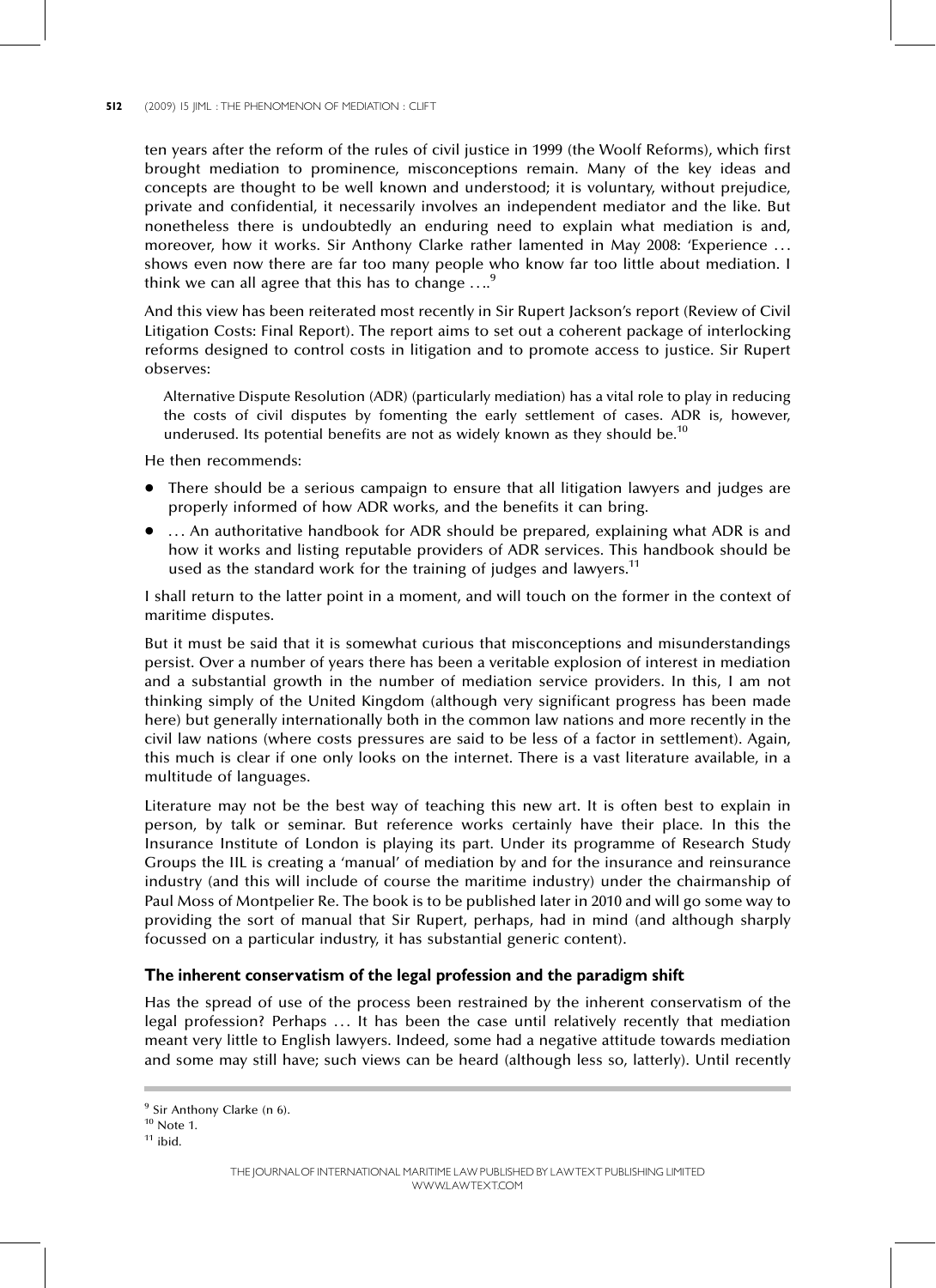#### **512** (2009) 15 JIML : THE PHENOMENON OF MEDIATION : CLIFT

ten years after the reform of the rules of civil justice in 1999 (the Woolf Reforms), which first brought mediation to prominence, misconceptions remain. Many of the key ideas and concepts are thought to be well known and understood; it is voluntary, without prejudice, private and confidential, it necessarily involves an independent mediator and the like. But nonetheless there is undoubtedly an enduring need to explain what mediation is and, moreover, how it works. Sir Anthony Clarke rather lamented in May 2008: 'Experience ... shows even now there are far too many people who know far too little about mediation. I think we can all agree that this has to change  $\dots$ <sup>9</sup>

And this view has been reiterated most recently in Sir Rupert Jackson's report (Review of Civil Litigation Costs: Final Report). The report aims to set out a coherent package of interlocking reforms designed to control costs in litigation and to promote access to justice. Sir Rupert observes:

Alternative Dispute Resolution (ADR) (particularly mediation) has a vital role to play in reducing the costs of civil disputes by fomenting the early settlement of cases. ADR is, however, underused. Its potential benefits are not as widely known as they should be.<sup>10</sup>

He then recommends:

- There should be a serious campaign to ensure that all litigation lawyers and judges are properly informed of how ADR works, and the benefits it can bring.
- ... An authoritative handbook for ADR should be prepared, explaining what ADR is and how it works and listing reputable providers of ADR services. This handbook should be used as the standard work for the training of judges and lawyers.<sup>11</sup>

I shall return to the latter point in a moment, and will touch on the former in the context of maritime disputes.

But it must be said that it is somewhat curious that misconceptions and misunderstandings persist. Over a number of years there has been a veritable explosion of interest in mediation and a substantial growth in the number of mediation service providers. In this, I am not thinking simply of the United Kingdom (although very significant progress has been made here) but generally internationally both in the common law nations and more recently in the civil law nations (where costs pressures are said to be less of a factor in settlement). Again, this much is clear if one only looks on the internet. There is a vast literature available, in a multitude of languages.

Literature may not be the best way of teaching this new art. It is often best to explain in person, by talk or seminar. But reference works certainly have their place. In this the Insurance Institute of London is playing its part. Under its programme of Research Study Groups the IIL is creating a 'manual' of mediation by and for the insurance and reinsurance industry (and this will include of course the maritime industry) under the chairmanship of Paul Moss of Montpelier Re. The book is to be published later in 2010 and will go some way to providing the sort of manual that Sir Rupert, perhaps, had in mind (and although sharply focussed on a particular industry, it has substantial generic content).

# The inherent conservatism of the legal profession and the paradigm shift

Has the spread of use of the process been restrained by the inherent conservatism of the legal profession? Perhaps ... It has been the case until relatively recently that mediation meant very little to English lawyers. Indeed, some had a negative attitude towards mediation and some may still have; such views can be heard (although less so, latterly). Until recently

<sup>&</sup>lt;sup>9</sup> Sir Anthony Clarke (n 6).

 $10$  Note 1.

 $11$  ibid.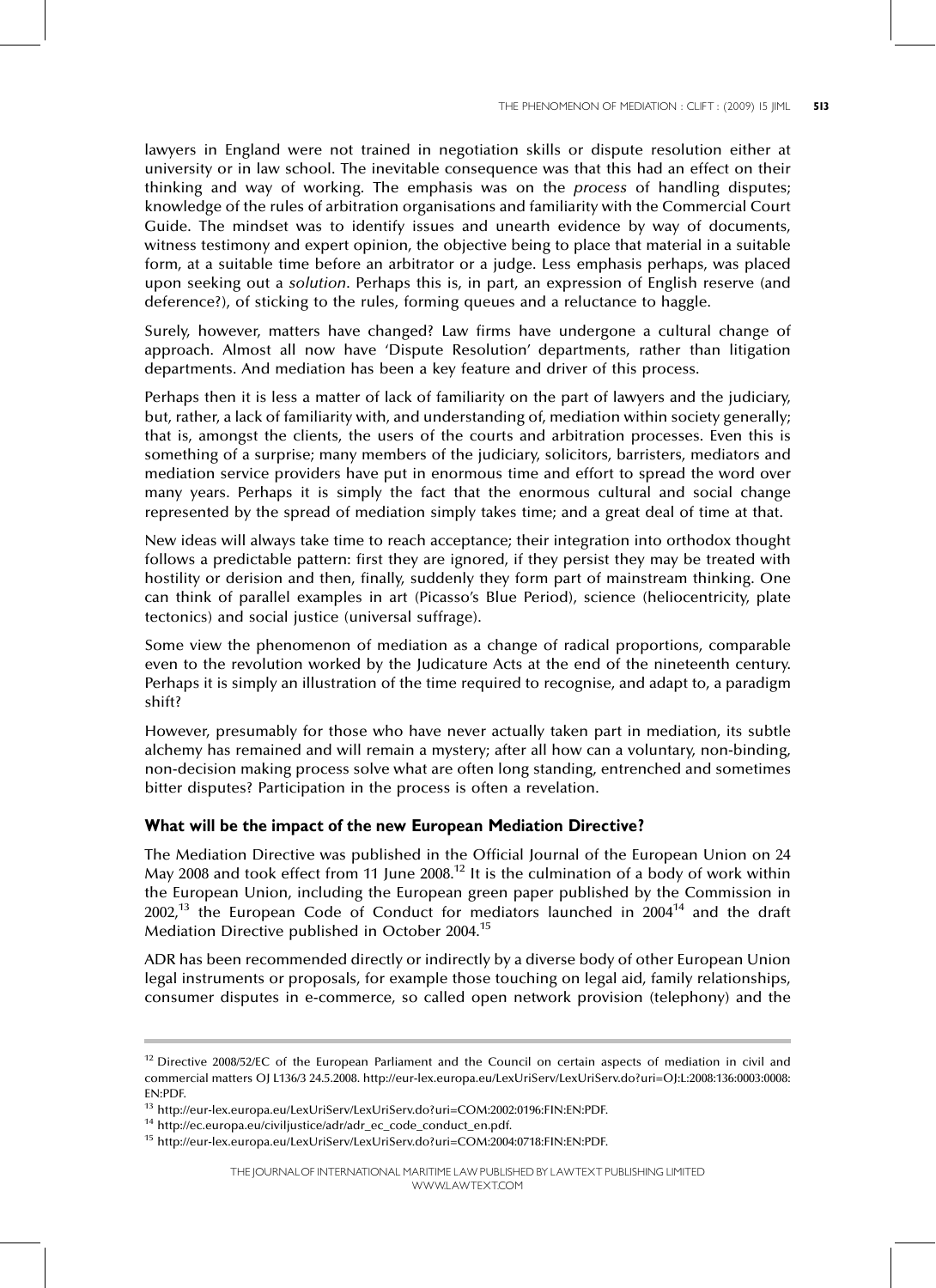lawyers in England were not trained in negotiation skills or dispute resolution either at university or in law school. The inevitable consequence was that this had an effect on their thinking and way of working. The emphasis was on the process of handling disputes; knowledge of the rules of arbitration organisations and familiarity with the Commercial Court Guide. The mindset was to identify issues and unearth evidence by way of documents, witness testimony and expert opinion, the objective being to place that material in a suitable form, at a suitable time before an arbitrator or a judge. Less emphasis perhaps, was placed upon seeking out a solution. Perhaps this is, in part, an expression of English reserve (and deference?), of sticking to the rules, forming queues and a reluctance to haggle.

Surely, however, matters have changed? Law firms have undergone a cultural change of approach. Almost all now have 'Dispute Resolution' departments, rather than litigation departments. And mediation has been a key feature and driver of this process.

Perhaps then it is less a matter of lack of familiarity on the part of lawyers and the judiciary, but, rather, a lack of familiarity with, and understanding of, mediation within society generally; that is, amongst the clients, the users of the courts and arbitration processes. Even this is something of a surprise; many members of the judiciary, solicitors, barristers, mediators and mediation service providers have put in enormous time and effort to spread the word over many years. Perhaps it is simply the fact that the enormous cultural and social change represented by the spread of mediation simply takes time; and a great deal of time at that.

New ideas will always take time to reach acceptance; their integration into orthodox thought follows a predictable pattern: first they are ignored, if they persist they may be treated with hostility or derision and then, finally, suddenly they form part of mainstream thinking. One can think of parallel examples in art (Picasso's Blue Period), science (heliocentricity, plate tectonics) and social justice (universal suffrage).

Some view the phenomenon of mediation as a change of radical proportions, comparable even to the revolution worked by the Judicature Acts at the end of the nineteenth century. Perhaps it is simply an illustration of the time required to recognise, and adapt to, a paradigm shift?

However, presumably for those who have never actually taken part in mediation, its subtle alchemy has remained and will remain a mystery; after all how can a voluntary, non-binding, non-decision making process solve what are often long standing, entrenched and sometimes bitter disputes? Participation in the process is often a revelation.

# What will be the impact of the new European Mediation Directive?

The Mediation Directive was published in the Official Journal of the European Union on 24 May 2008 and took effect from 11 June  $2008$ .<sup>12</sup> It is the culmination of a body of work within the European Union, including the European green paper published by the Commission in  $2002<sup>13</sup>$  the European Code of Conduct for mediators launched in  $2004<sup>14</sup>$  and the draft Mediation Directive published in October 2004.15

ADR has been recommended directly or indirectly by a diverse body of other European Union legal instruments or proposals, for example those touching on legal aid, family relationships, consumer disputes in e-commerce, so called open network provision (telephony) and the

<sup>&</sup>lt;sup>12</sup> Directive 2008/52/EC of the European Parliament and the Council on certain aspects of mediation in civil and commercial matters OJ L136/3 24.5.2008. http://eur-lex.europa.eu/LexUriServ/LexUriServ.do?uri=OJ:L:2008:136:0003:0008: EN:PDF.

<sup>13</sup> http://eur-lex.europa.eu/LexUriServ/LexUriServ.do?uri=COM:2002:0196:FIN:EN:PDF.

<sup>14</sup> http://ec.europa.eu/civiljustice/adr/adr\_ec\_code\_conduct\_en.pdf.

<sup>15</sup> http://eur-lex.europa.eu/LexUriServ/LexUriServ.do?uri=COM:2004:0718:FIN:EN:PDF.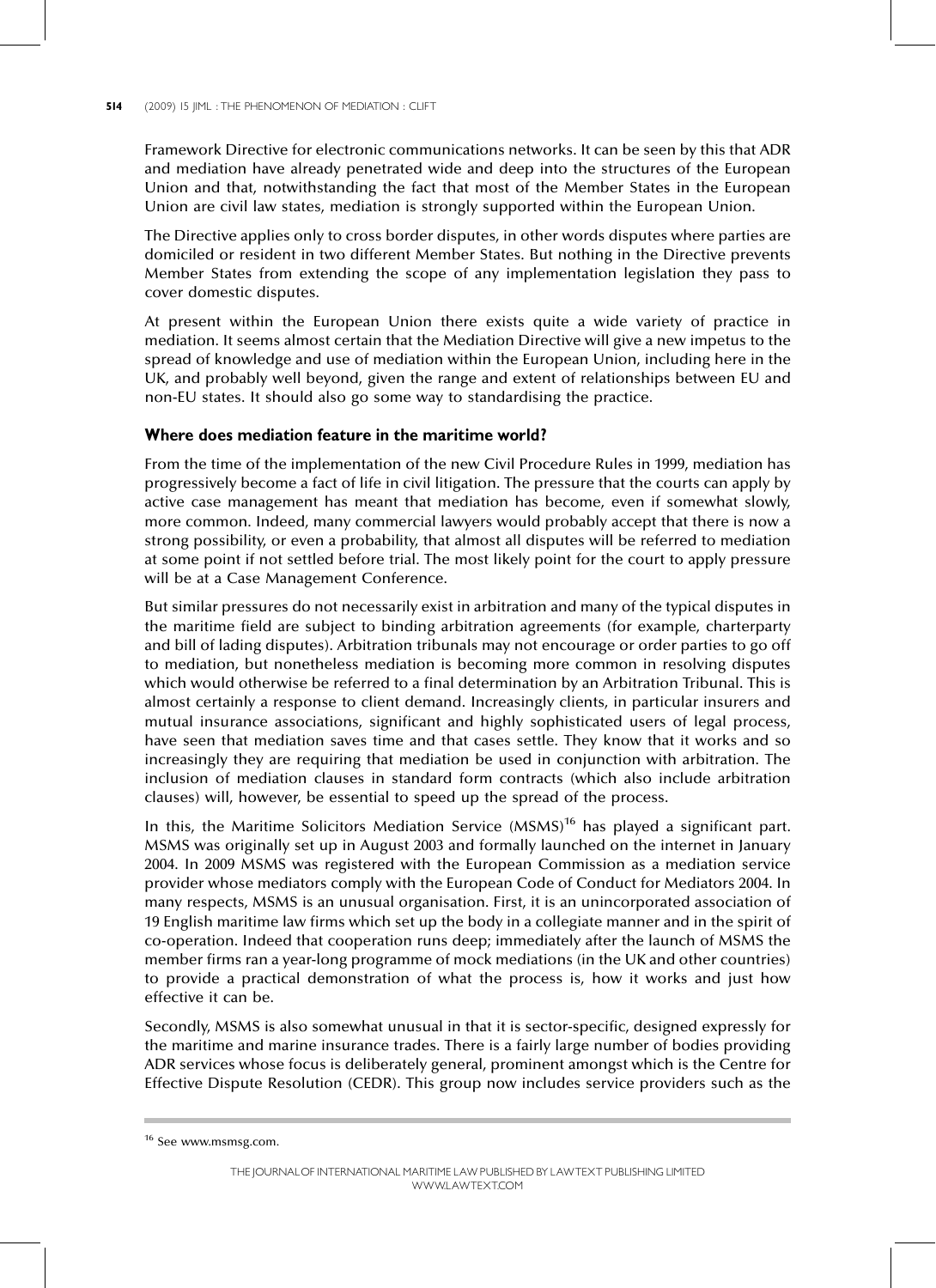#### **514** (2009) 15 IML: THE PHENOMENON OF MEDIATION: CLIFT

Framework Directive for electronic communications networks. It can be seen by this that ADR and mediation have already penetrated wide and deep into the structures of the European Union and that, notwithstanding the fact that most of the Member States in the European Union are civil law states, mediation is strongly supported within the European Union.

The Directive applies only to cross border disputes, in other words disputes where parties are domiciled or resident in two different Member States. But nothing in the Directive prevents Member States from extending the scope of any implementation legislation they pass to cover domestic disputes.

At present within the European Union there exists quite a wide variety of practice in mediation. It seems almost certain that the Mediation Directive will give a new impetus to the spread of knowledge and use of mediation within the European Union, including here in the UK, and probably well beyond, given the range and extent of relationships between EU and non-EU states. It should also go some way to standardising the practice.

## Where does mediation feature in the maritime world?

From the time of the implementation of the new Civil Procedure Rules in 1999, mediation has progressively become a fact of life in civil litigation. The pressure that the courts can apply by active case management has meant that mediation has become, even if somewhat slowly, more common. Indeed, many commercial lawyers would probably accept that there is now a strong possibility, or even a probability, that almost all disputes will be referred to mediation at some point if not settled before trial. The most likely point for the court to apply pressure will be at a Case Management Conference.

But similar pressures do not necessarily exist in arbitration and many of the typical disputes in the maritime field are subject to binding arbitration agreements (for example, charterparty and bill of lading disputes). Arbitration tribunals may not encourage or order parties to go off to mediation, but nonetheless mediation is becoming more common in resolving disputes which would otherwise be referred to a final determination by an Arbitration Tribunal. This is almost certainly a response to client demand. Increasingly clients, in particular insurers and mutual insurance associations, significant and highly sophisticated users of legal process, have seen that mediation saves time and that cases settle. They know that it works and so increasingly they are requiring that mediation be used in conjunction with arbitration. The inclusion of mediation clauses in standard form contracts (which also include arbitration clauses) will, however, be essential to speed up the spread of the process.

In this, the Maritime Solicitors Mediation Service  $(MSMS)^{16}$  has played a significant part. MSMS was originally set up in August 2003 and formally launched on the internet in January 2004. In 2009 MSMS was registered with the European Commission as a mediation service provider whose mediators comply with the European Code of Conduct for Mediators 2004. In many respects, MSMS is an unusual organisation. First, it is an unincorporated association of 19 English maritime law firms which set up the body in a collegiate manner and in the spirit of co-operation. Indeed that cooperation runs deep; immediately after the launch of MSMS the member firms ran a year-long programme of mock mediations (in the UK and other countries) to provide a practical demonstration of what the process is, how it works and just how effective it can be.

Secondly, MSMS is also somewhat unusual in that it is sector-specific, designed expressly for the maritime and marine insurance trades. There is a fairly large number of bodies providing ADR services whose focus is deliberately general, prominent amongst which is the Centre for Effective Dispute Resolution (CEDR). This group now includes service providers such as the

<sup>&</sup>lt;sup>16</sup> See www.msmsg.com.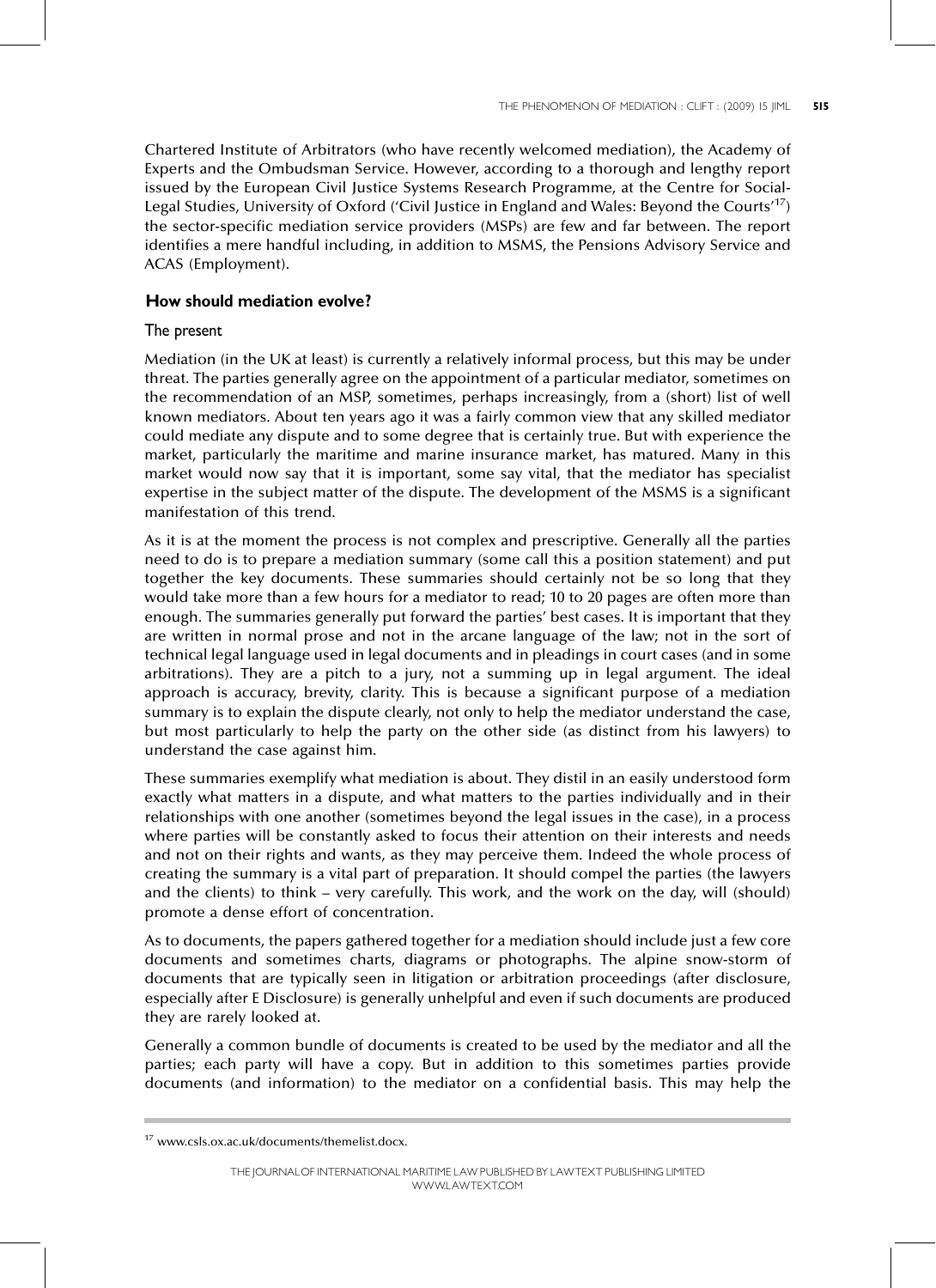Chartered Institute of Arbitrators (who have recently welcomed mediation), the Academy of Experts and the Ombudsman Service. However, according to a thorough and lengthy report issued by the European Civil Justice Systems Research Programme, at the Centre for Social-Legal Studies, University of Oxford ('Civil Justice in England and Wales: Beyond the Courts'<sup>17</sup>) the sector-specific mediation service providers (MSPs) are few and far between. The report identifies a mere handful including, in addition to MSMS, the Pensions Advisory Service and ACAS (Employment).

## How should mediation evolve?

## The present

Mediation (in the UK at least) is currently a relatively informal process, but this may be under threat. The parties generally agree on the appointment of a particular mediator, sometimes on the recommendation of an MSP, sometimes, perhaps increasingly, from a (short) list of well known mediators. About ten years ago it was a fairly common view that any skilled mediator could mediate any dispute and to some degree that is certainly true. But with experience the market, particularly the maritime and marine insurance market, has matured. Many in this market would now say that it is important, some say vital, that the mediator has specialist expertise in the subject matter of the dispute. The development of the MSMS is a significant manifestation of this trend.

As it is at the moment the process is not complex and prescriptive. Generally all the parties need to do is to prepare a mediation summary (some call this a position statement) and put together the key documents. These summaries should certainly not be so long that they would take more than a few hours for a mediator to read; 10 to 20 pages are often more than enough. The summaries generally put forward the parties' best cases. It is important that they are written in normal prose and not in the arcane language of the law; not in the sort of technical legal language used in legal documents and in pleadings in court cases (and in some arbitrations). They are a pitch to a jury, not a summing up in legal argument. The ideal approach is accuracy, brevity, clarity. This is because a significant purpose of a mediation summary is to explain the dispute clearly, not only to help the mediator understand the case, but most particularly to help the party on the other side (as distinct from his lawyers) to understand the case against him.

These summaries exemplify what mediation is about. They distil in an easily understood form exactly what matters in a dispute, and what matters to the parties individually and in their relationships with one another (sometimes beyond the legal issues in the case), in a process where parties will be constantly asked to focus their attention on their interests and needs and not on their rights and wants, as they may perceive them. Indeed the whole process of creating the summary is a vital part of preparation. It should compel the parties (the lawyers and the clients) to think  $-$  very carefully. This work, and the work on the day, will (should) promote a dense effort of concentration.

As to documents, the papers gathered together for a mediation should include just a few core documents and sometimes charts, diagrams or photographs. The alpine snow-storm of documents that are typically seen in litigation or arbitration proceedings (after disclosure, especially after E Disclosure) is generally unhelpful and even if such documents are produced they are rarely looked at.

Generally a common bundle of documents is created to be used by the mediator and all the parties; each party will have a copy. But in addition to this sometimes parties provide documents (and information) to the mediator on a confidential basis. This may help the

<sup>17</sup> www.csls.ox.ac.uk/documents/themelist.docx.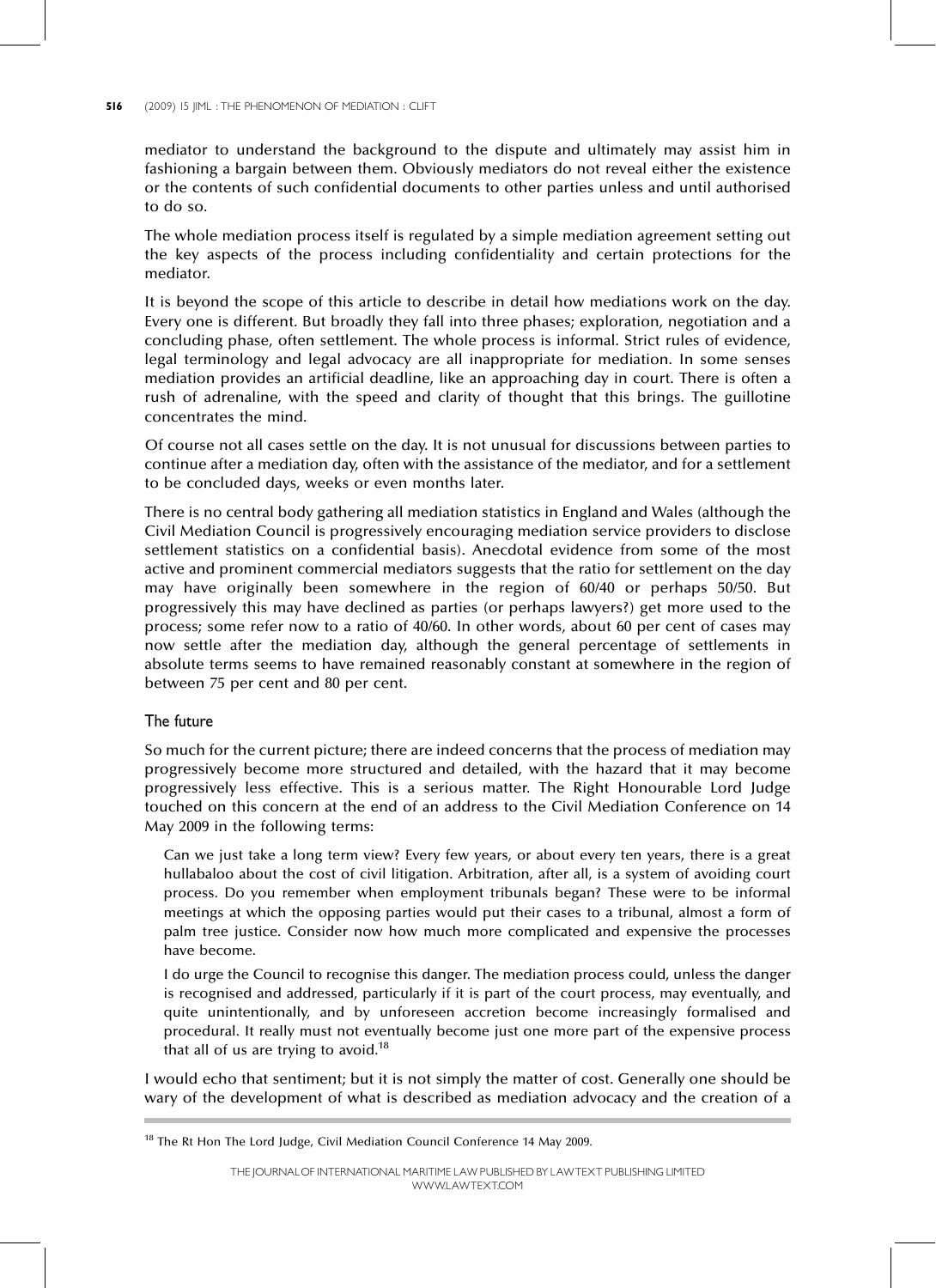#### **516** (2009) 15 JIML : THE PHENOMENON OF MEDIATION : CLIFT

mediator to understand the background to the dispute and ultimately may assist him in fashioning a bargain between them. Obviously mediators do not reveal either the existence or the contents of such confidential documents to other parties unless and until authorised to do so.

The whole mediation process itself is regulated by a simple mediation agreement setting out the key aspects of the process including confidentiality and certain protections for the mediator.

It is beyond the scope of this article to describe in detail how mediations work on the day. Every one is different. But broadly they fall into three phases; exploration, negotiation and a concluding phase, often settlement. The whole process is informal. Strict rules of evidence, legal terminology and legal advocacy are all inappropriate for mediation. In some senses mediation provides an artificial deadline, like an approaching day in court. There is often a rush of adrenaline, with the speed and clarity of thought that this brings. The guillotine concentrates the mind.

Of course not all cases settle on the day. It is not unusual for discussions between parties to continue after a mediation day, often with the assistance of the mediator, and for a settlement to be concluded days, weeks or even months later.

There is no central body gathering all mediation statistics in England and Wales (although the Civil Mediation Council is progressively encouraging mediation service providers to disclose settlement statistics on a confidential basis). Anecdotal evidence from some of the most active and prominent commercial mediators suggests that the ratio for settlement on the day may have originally been somewhere in the region of 60/40 or perhaps 50/50. But progressively this may have declined as parties (or perhaps lawyers?) get more used to the process; some refer now to a ratio of 40/60. In other words, about 60 per cent of cases may now settle after the mediation day, although the general percentage of settlements in absolute terms seems to have remained reasonably constant at somewhere in the region of between 75 per cent and 80 per cent.

## The future

So much for the current picture; there are indeed concerns that the process of mediation may progressively become more structured and detailed, with the hazard that it may become progressively less effective. This is a serious matter. The Right Honourable Lord Judge touched on this concern at the end of an address to the Civil Mediation Conference on 14 May 2009 in the following terms:

Can we just take a long term view? Every few years, or about every ten years, there is a great hullabaloo about the cost of civil litigation. Arbitration, after all, is a system of avoiding court process. Do you remember when employment tribunals began? These were to be informal meetings at which the opposing parties would put their cases to a tribunal, almost a form of palm tree justice. Consider now how much more complicated and expensive the processes have become.

I do urge the Council to recognise this danger. The mediation process could, unless the danger is recognised and addressed, particularly if it is part of the court process, may eventually, and quite unintentionally, and by unforeseen accretion become increasingly formalised and procedural. It really must not eventually become just one more part of the expensive process that all of us are trying to avoid.<sup>18</sup>

I would echo that sentiment; but it is not simply the matter of cost. Generally one should be wary of the development of what is described as mediation advocacy and the creation of a

<sup>&</sup>lt;sup>18</sup> The Rt Hon The Lord Judge, Civil Mediation Council Conference 14 May 2009.